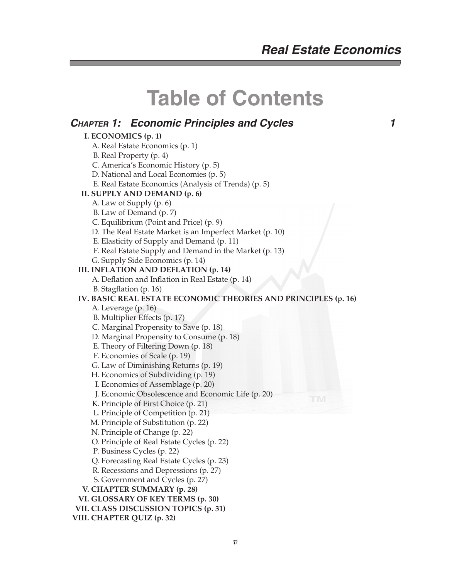# **Table of Contents**

### **CHAPTER 1: Economic Principles and Cycles 1**

 **I. ECONOMICS (p. 1)** A. Real Estate Economics (p. 1) B. Real Property (p. 4) C. America's Economic History (p. 5) D. National and Local Economies (p. 5) E. Real Estate Economics (Analysis of Trends) (p. 5)  **II. SUPPLY AND DEMAND (p. 6)** A. Law of Supply (p. 6) B. Law of Demand (p. 7) C. Equilibrium (Point and Price) (p. 9) D. The Real Estate Market is an Imperfect Market (p. 10) E. Elasticity of Supply and Demand (p. 11) F. Real Estate Supply and Demand in the Market (p. 13) G. Supply Side Economics (p. 14)  **III. INFLATION AND DEFLATION (p. 14)** A. Deflation and Inflation in Real Estate (p. 14) B. Stagflation (p. 16)  **IV. BASIC REAL ESTATE ECONOMIC THEORIES AND PRINCIPLES (p. 16)** A. Leverage (p. 16) B. Multiplier Effects (p. 17) C. Marginal Propensity to Save (p. 18) D. Marginal Propensity to Consume (p. 18) E. Theory of Filtering Down (p. 18) F. Economies of Scale (p. 19) G. Law of Diminishing Returns (p. 19) H. Economics of Subdividing (p. 19) I. Economics of Assemblage (p. 20) J. Economic Obsolescence and Economic Life (p. 20) K. Principle of First Choice (p. 21) L. Principle of Competition (p. 21) M. Principle of Substitution (p. 22) N. Principle of Change (p. 22) O. Principle of Real Estate Cycles (p. 22) P. Business Cycles (p. 22) Q. Forecasting Real Estate Cycles (p. 23) R. Recessions and Depressions (p. 27) S. Government and Cycles (p. 27)  **V. CHAPTER SUMMARY (p. 28) VI. GLOSSARY OF KEY TERMS (p. 30) VII. CLASS DISCUSSION TOPICS (p. 31) VIII. CHAPTER QUIZ (p. 32)**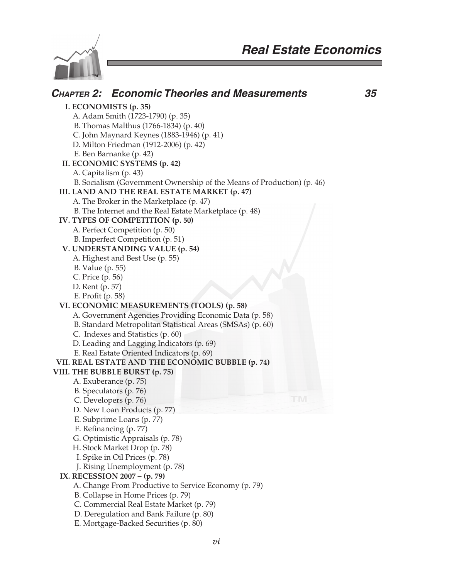Ī.



| <b>CHAPTER 2: Economic Theories and Measurements</b>                   |    | 35 |
|------------------------------------------------------------------------|----|----|
| I. ECONOMISTS (p. 35)                                                  |    |    |
| A. Adam Smith (1723-1790) (p. 35)                                      |    |    |
| B. Thomas Malthus (1766-1834) (p. 40)                                  |    |    |
| C. John Maynard Keynes (1883-1946) (p. 41)                             |    |    |
| D. Milton Friedman (1912-2006) (p. 42)                                 |    |    |
| E. Ben Barnanke (p. 42)                                                |    |    |
| II. ECONOMIC SYSTEMS (p. 42)                                           |    |    |
| A. Capitalism (p. 43)                                                  |    |    |
| B. Socialism (Government Ownership of the Means of Production) (p. 46) |    |    |
| III. LAND AND THE REAL ESTATE MARKET (p. 47)                           |    |    |
|                                                                        |    |    |
| A. The Broker in the Marketplace (p. 47)                               |    |    |
| B. The Internet and the Real Estate Marketplace (p. 48)                |    |    |
| IV. TYPES OF COMPETITION (p. 50)                                       |    |    |
| A. Perfect Competition (p. 50)                                         |    |    |
| B. Imperfect Competition (p. 51)                                       |    |    |
| V. UNDERSTANDING VALUE (p. 54)                                         |    |    |
| A. Highest and Best Use (p. 55)                                        |    |    |
| B. Value (p. 55)                                                       |    |    |
| C. Price (p. 56)                                                       |    |    |
| D. Rent (p. 57)                                                        |    |    |
| E. Profit (p. 58)                                                      |    |    |
| VI. ECONOMIC MEASUREMENTS (TOOLS) (p. 58)                              |    |    |
| A. Government Agencies Providing Economic Data (p. 58)                 |    |    |
| B. Standard Metropolitan Statistical Areas (SMSAs) (p. 60)             |    |    |
| C. Indexes and Statistics (p. 60)                                      |    |    |
| D. Leading and Lagging Indicators (p. 69)                              |    |    |
| E. Real Estate Oriented Indicators (p. 69)                             |    |    |
| VII. REAL ESTATE AND THE ECONOMIC BUBBLE (p. 74)                       |    |    |
| VIII. THE BUBBLE BURST (p. 75)                                         |    |    |
| A. Exuberance (p. 75)                                                  |    |    |
| B. Speculators (p. 76)                                                 | TM |    |
| C. Developers (p. 76)                                                  |    |    |
| D. New Loan Products (p. 77)                                           |    |    |
| E. Subprime Loans (p. 77)                                              |    |    |
| F. Refinancing (p. 77)                                                 |    |    |
| G. Optimistic Appraisals (p. 78)                                       |    |    |
| H. Stock Market Drop (p. 78)                                           |    |    |
| I. Spike in Oil Prices (p. 78)                                         |    |    |
| J. Rising Unemployment (p. 78)                                         |    |    |
| IX. RECESSION 2007 - (p. 79)                                           |    |    |
| A. Change From Productive to Service Economy (p. 79)                   |    |    |
| B. Collapse in Home Prices (p. 79)                                     |    |    |
| C. Commercial Real Estate Market (p. 79)                               |    |    |
| D. Deregulation and Bank Failure (p. 80)                               |    |    |
| E. Mortgage-Backed Securities (p. 80)                                  |    |    |
|                                                                        |    |    |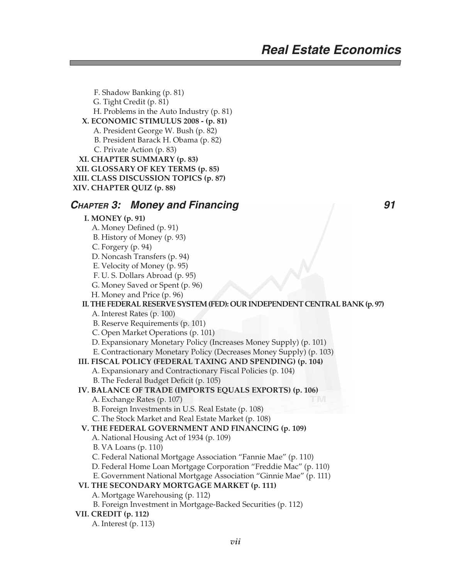F. Shadow Banking (p. 81) G. Tight Credit (p. 81) H. Problems in the Auto Industry (p. 81)  **X. ECONOMIC STIMULUS 2008 - (p. 81)** A. President George W. Bush (p. 82) B. President Barack H. Obama (p. 82) C. Private Action (p. 83)  **XI. CHAPTER SUMMARY (p. 83) XII. GLOSSARY OF KEY TERMS (p. 85) XIII. CLASS DISCUSSION TOPICS (p. 87) XIV. CHAPTER QUIZ (p. 88)**

### **CHAPTER 3: Money and Financing CHAPTER 3: Money and Financing 21 All 2018**

#### **I. MONEY (p. 91)** A. Money Defined (p. 91) B. History of Money (p. 93) C. Forgery (p. 94) D. Noncash Transfers (p. 94) E. Velocity of Money (p. 95) F. U. S. Dollars Abroad (p. 95) G. Money Saved or Spent (p. 96)

H. Money and Price (p. 96)

### **II. THE FEDERAL RESERVE SYSTEM (FED): OUR INDEPENDENT CENTRAL BANK (p. 97)**

A. Interest Rates (p. 100)

B. Reserve Requirements (p. 101)

C. Open Market Operations (p. 101)

D. Expansionary Monetary Policy (Increases Money Supply) (p. 101)

E. Contractionary Monetary Policy (Decreases Money Supply) (p. 103)

### **III. FISCAL POLICY (FEDERAL TAXING AND SPENDING) (p. 104)**

A. Expansionary and Contractionary Fiscal Policies (p. 104)

B. The Federal Budget Deficit (p. 105)

### **IV. BALANCE OF TRADE (IMPORTS EQUALS EXPORTS) (p. 106)**

A. Exchange Rates (p. 107)

B. Foreign Investments in U.S. Real Estate (p. 108)

C. The Stock Market and Real Estate Market (p. 108)

### **V. THE FEDERAL GOVERNMENT AND FINANCING (p. 109)**

- A. National Housing Act of 1934 (p. 109)
- B. VA Loans (p. 110)
- C. Federal National Mortgage Association "Fannie Mae" (p. 110)
- D. Federal Home Loan Mortgage Corporation "Freddie Mac" (p. 110)
- E. Government National Mortgage Association "Ginnie Mae" (p. 111)

### **VI. THE SECONDARY MORTGAGE MARKET (p. 111)**

A. Mortgage Warehousing (p. 112)

B. Foreign Investment in Mortgage-Backed Securities (p. 112)

### **VII. CREDIT (p. 112)**

A. Interest (p. 113)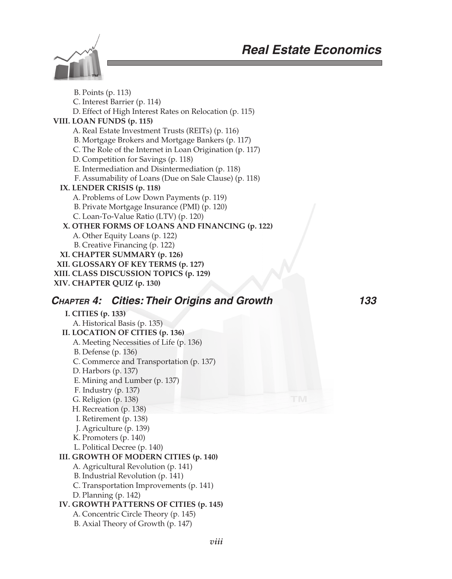

 B. Points (p. 113) C. Interest Barrier (p. 114) D. Effect of High Interest Rates on Relocation (p. 115)  **VIII. LOAN FUNDS (p. 115)** A. Real Estate Investment Trusts (REITs) (p. 116) B. Mortgage Brokers and Mortgage Bankers (p. 117) C. The Role of the Internet in Loan Origination (p. 117) D. Competition for Savings (p. 118) E. Intermediation and Disintermediation (p. 118) F. Assumability of Loans (Due on Sale Clause) (p. 118)  **IX. LENDER CRISIS (p. 118)** A. Problems of Low Down Payments (p. 119) B. Private Mortgage Insurance (PMI) (p. 120) C. Loan-To-Value Ratio (LTV) (p. 120)  **X. OTHER FORMS OF LOANS AND FINANCING (p. 122)** A. Other Equity Loans (p. 122) B. Creative Financing (p. 122)  **XI. CHAPTER SUMMARY (p. 126) XII. GLOSSARY OF KEY TERMS (p. 127) XIII. CLASS DISCUSSION TOPICS (p. 129) XIV. CHAPTER QUIZ (p. 130) CHAPTER 4: Cities: Their Origins and Growth 133 I. CITIES (p. 133)**

 A. Historical Basis (p. 135)  **II. LOCATION OF CITIES (p. 136)** A. Meeting Necessities of Life (p. 136) B. Defense (p. 136) C. Commerce and Transportation (p. 137) D. Harbors (p. 137) E. Mining and Lumber (p. 137) F. Industry (p. 137) G. Religion (p. 138) H. Recreation (p. 138) I. Retirement (p. 138) J. Agriculture (p. 139) K. Promoters (p. 140) L. Political Decree (p. 140)  **III. GROWTH OF MODERN CITIES (p. 140)** A. Agricultural Revolution (p. 141) B. Industrial Revolution (p. 141) C. Transportation Improvements (p. 141) D. Planning (p. 142)  **IV. GROWTH PATTERNS OF CITIES (p. 145)** A. Concentric Circle Theory (p. 145)

B. Axial Theory of Growth (p. 147)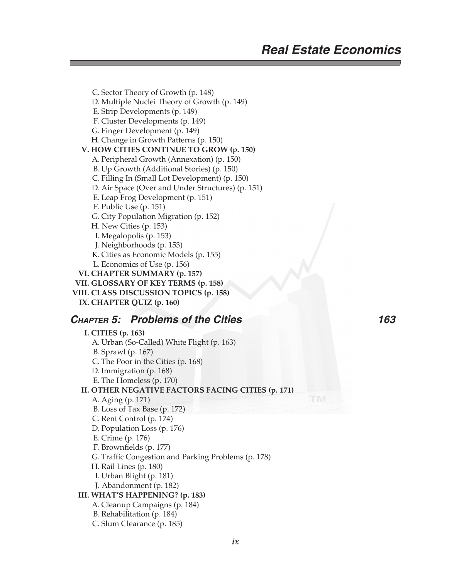C. Sector Theory of Growth (p. 148) D. Multiple Nuclei Theory of Growth (p. 149) E. Strip Developments (p. 149) F. Cluster Developments (p. 149) G. Finger Development (p. 149) H. Change in Growth Patterns (p. 150)  **V. HOW CITIES CONTINUE TO GROW (p. 150)** A. Peripheral Growth (Annexation) (p. 150) B. Up Growth (Additional Stories) (p. 150) C. Filling In (Small Lot Development) (p. 150) D. Air Space (Over and Under Structures) (p. 151) E. Leap Frog Development (p. 151) F. Public Use (p. 151) G. City Population Migration (p. 152) H. New Cities (p. 153) I. Megalopolis (p. 153) J. Neighborhoods (p. 153) K. Cities as Economic Models (p. 155) L. Economics of Use (p. 156)  **VI. CHAPTER SUMMARY (p. 157) VII. GLOSSARY OF KEY TERMS (p. 158) VIII. CLASS DISCUSSION TOPICS (p. 158)**

 **IX. CHAPTER QUIZ (p. 160)**

### **CHAPTER 5: Problems of the Cities 163**

 **I. CITIES (p. 163)** A. Urban (So-Called) White Flight (p. 163) B. Sprawl (p. 167) C. The Poor in the Cities (p. 168) D. Immigration (p. 168) E. The Homeless (p. 170)  **II. OTHER NEGATIVE FACTORS FACING CITIES (p. 171)** A. Aging (p. 171) B. Loss of Tax Base (p. 172) C. Rent Control (p. 174) D. Population Loss (p. 176) E. Crime (p. 176) F. Brownfields (p. 177) G. Traffic Congestion and Parking Problems (p. 178) H. Rail Lines (p. 180) I. Urban Blight (p. 181) J. Abandonment (p. 182) **III. WHAT'S HAPPENING? (p. 183)** A. Cleanup Campaigns (p. 184) B. Rehabilitation (p. 184)

C. Slum Clearance (p. 185)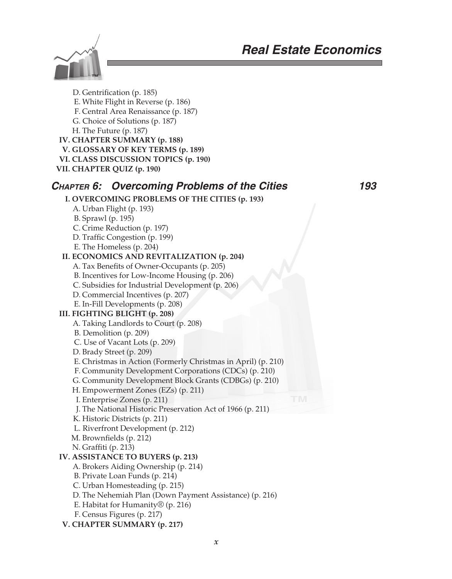

D. Gentrification (p. 185) E. White Flight in Reverse (p. 186) F. Central Area Renaissance (p. 187) G. Choice of Solutions (p. 187) H. The Future (p. 187)  **IV. CHAPTER SUMMARY (p. 188) V. GLOSSARY OF KEY TERMS (p. 189) VI. CLASS DISCUSSION TOPICS (p. 190) VII. CHAPTER QUIZ (p. 190) CHAPTER 6: Overcoming Problems of the Cities 193 I. OVERCOMING PROBLEMS OF THE CITIES (p. 193)** A. Urban Flight (p. 193) B. Sprawl (p. 195) C. Crime Reduction (p. 197) D. Traffic Congestion (p. 199) E. The Homeless (p. 204)  **II. ECONOMICS AND REVITALIZATION (p. 204)** A. Tax Benefits of Owner-Occupants (p. 205) B. Incentives for Low-Income Housing (p. 206) C. Subsidies for Industrial Development (p. 206) D. Commercial Incentives (p. 207) E. In-Fill Developments (p. 208)  **III. FIGHTING BLIGHT (p. 208)** A. Taking Landlords to Court (p. 208) B. Demolition (p. 209) C. Use of Vacant Lots (p. 209) D. Brady Street (p. 209) E. Christmas in Action (Formerly Christmas in April) (p. 210) F. Community Development Corporations (CDCs) (p. 210) G. Community Development Block Grants (CDBGs) (p. 210) H. Empowerment Zones (EZs) (p. 211) I. Enterprise Zones (p. 211) J. The National Historic Preservation Act of 1966 (p. 211) K. Historic Districts (p. 211) L. Riverfront Development (p. 212) M. Brownfields (p. 212) N. Graffiti (p. 213) **IV. ASSISTANCE TO BUYERS (p. 213)** A. Brokers Aiding Ownership (p. 214) B. Private Loan Funds (p. 214) C. Urban Homesteading (p. 215) D. The Nehemiah Plan (Down Payment Assistance) (p. 216) E. Habitat for Humanity® (p. 216) F. Census Figures (p. 217)  **V. CHAPTER SUMMARY (p. 217)**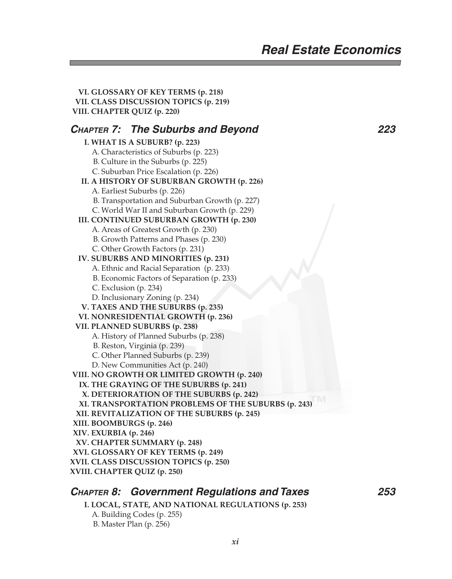**VI. GLOSSARY OF KEY TERMS (p. 218) VII. CLASS DISCUSSION TOPICS (p. 219) VIII. CHAPTER QUIZ (p. 220) CHAPTER 7: The Suburbs and Beyond 223 I. WHAT IS A SUBURB? (p. 223)** A. Characteristics of Suburbs (p. 223) B. Culture in the Suburbs (p. 225) C. Suburban Price Escalation (p. 226)  **II. A HISTORY OF SUBURBAN GROWTH (p. 226)** A. Earliest Suburbs (p. 226) B. Transportation and Suburban Growth (p. 227) C. World War II and Suburban Growth (p. 229)  **III. CONTINUED SUBURBAN GROWTH (p. 230)** A. Areas of Greatest Growth (p. 230) B. Growth Patterns and Phases (p. 230) C. Other Growth Factors (p. 231)  **IV. SUBURBS AND MINORITIES (p. 231)** A. Ethnic and Racial Separation (p. 233) B. Economic Factors of Separation (p. 233) C. Exclusion (p. 234) D. Inclusionary Zoning (p. 234)  **V. TAXES AND THE SUBURBS (p. 235) VI. NONRESIDENTIAL GROWTH (p. 236) VII. PLANNED SUBURBS (p. 238)** A. History of Planned Suburbs (p. 238) B. Reston, Virginia (p. 239) C. Other Planned Suburbs (p. 239) D. New Communities Act (p. 240)  **VIII. NO GROWTH OR LIMITED GROWTH (p. 240) IX. THE GRAYING OF THE SUBURBS (p. 241) X. DETERIORATION OF THE SUBURBS (p. 242) XI. TRANSPORTATION PROBLEMS OF THE SUBURBS (p. 243) XII. REVITALIZATION OF THE SUBURBS (p. 245) XIII. BOOMBURGS (p. 246) XIV. EXURBIA (p. 246) XV. CHAPTER SUMMARY (p. 248) XVI. GLOSSARY OF KEY TERMS (p. 249) XVII. CLASS DISCUSSION TOPICS (p. 250) XVIII. CHAPTER QUIZ (p. 250)**

### **CHAPTER 8: Government Regulations and Taxes 253**

 **I. LOCAL, STATE, AND NATIONAL REGULATIONS (p. 253)**

 A. Building Codes (p. 255) B. Master Plan (p. 256)

*xi*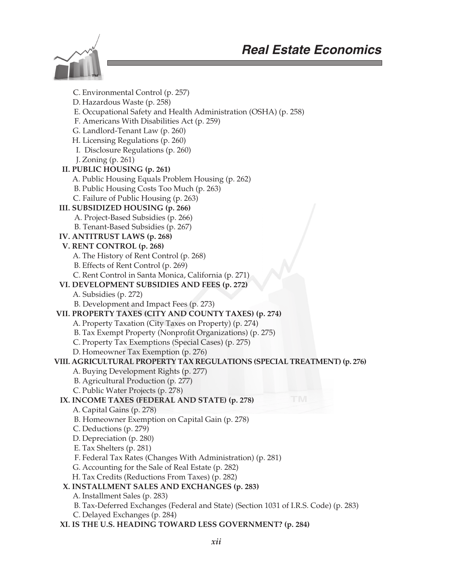

 C. Environmental Control (p. 257) D. Hazardous Waste (p. 258) E. Occupational Safety and Health Administration (OSHA) (p. 258) F. Americans With Disabilities Act (p. 259) G. Landlord-Tenant Law (p. 260) H. Licensing Regulations (p. 260) I. Disclosure Regulations (p. 260) J. Zoning (p. 261)  **II. PUBLIC HOUSING (p. 261)** A. Public Housing Equals Problem Housing (p. 262) B. Public Housing Costs Too Much (p. 263) C. Failure of Public Housing (p. 263)  **III. SUBSIDIZED HOUSING (p. 266)** A. Project-Based Subsidies (p. 266) B. Tenant-Based Subsidies (p. 267)  **IV. ANTITRUST LAWS (p. 268) V. RENT CONTROL (p. 268)** A. The History of Rent Control (p. 268) B. Effects of Rent Control (p. 269) C. Rent Control in Santa Monica, California (p. 271)  **VI. DEVELOPMENT SUBSIDIES AND FEES (p. 272)** A. Subsidies (p. 272) B. Development and Impact Fees (p. 273)  **VII. PROPERTY TAXES (CITY AND COUNTY TAXES) (p. 274)** A. Property Taxation (City Taxes on Property) (p. 274) B. Tax Exempt Property (Nonprofit Organizations) (p. 275) C. Property Tax Exemptions (Special Cases) (p. 275) D. Homeowner Tax Exemption (p. 276) **VIII. AGRICULTURAL PROPERTY TAX REGULATIONS (SPECIAL TREATMENT) (p. 276)** A. Buying Development Rights (p. 277) B. Agricultural Production (p. 277) C. Public Water Projects (p. 278)  **IX. INCOME TAXES (FEDERAL AND STATE) (p. 278)** A. Capital Gains (p. 278) B. Homeowner Exemption on Capital Gain (p. 278) C. Deductions (p. 279) D. Depreciation (p. 280) E. Tax Shelters (p. 281) F. Federal Tax Rates (Changes With Administration) (p. 281) G. Accounting for the Sale of Real Estate (p. 282) H. Tax Credits (Reductions From Taxes) (p. 282)  **X. INSTALLMENT SALES AND EXCHANGES (p. 283)** A. Installment Sales (p. 283) B. Tax-Deferred Exchanges (Federal and State) (Section 1031 of I.R.S. Code) (p. 283) C. Delayed Exchanges (p. 284)  **XI. IS THE U.S. HEADING TOWARD LESS GOVERNMENT? (p. 284)**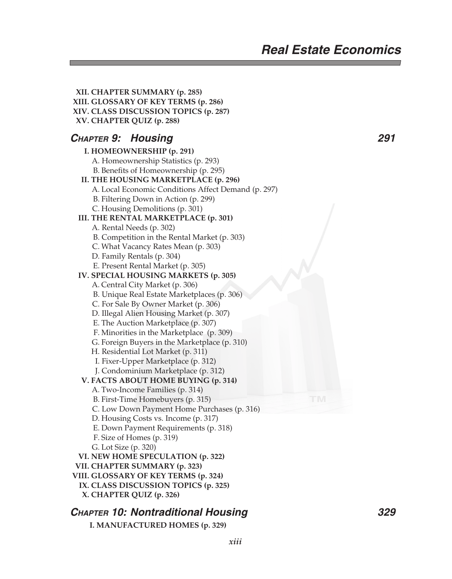**XII. CHAPTER SUMMARY (p. 285) XIII. GLOSSARY OF KEY TERMS (p. 286) XIV. CLASS DISCUSSION TOPICS (p. 287) XV. CHAPTER QUIZ (p. 288) CHAPTER 9: Housing 291 I. HOMEOWNERSHIP (p. 291)** A. Homeownership Statistics (p. 293) B. Benefits of Homeownership (p. 295)  **II. THE HOUSING MARKETPLACE (p. 296)** A. Local Economic Conditions Affect Demand (p. 297) B. Filtering Down in Action (p. 299) C. Housing Demolitions (p. 301)  **III. THE RENTAL MARKETPLACE (p. 301)** A. Rental Needs (p. 302) B. Competition in the Rental Market (p. 303) C. What Vacancy Rates Mean (p. 303) D. Family Rentals (p. 304) E. Present Rental Market (p. 305)  **IV. SPECIAL HOUSING MARKETS (p. 305)** A. Central City Market (p. 306) B. Unique Real Estate Marketplaces (p. 306) C. For Sale By Owner Market (p. 306) D. Illegal Alien Housing Market (p. 307) E. The Auction Marketplace (p. 307) F. Minorities in the Marketplace (p. 309) G. Foreign Buyers in the Marketplace (p. 310) H. Residential Lot Market (p. 311) I. Fixer-Upper Marketplace (p. 312) J. Condominium Marketplace (p. 312) **V. FACTS ABOUT HOME BUYING (p. 314)** A. Two-Income Families (p. 314) B. First-Time Homebuyers (p. 315) C. Low Down Payment Home Purchases (p. 316) D. Housing Costs vs. Income (p. 317) E. Down Payment Requirements (p. 318) F. Size of Homes (p. 319) G. Lot Size (p. 320)  **VI. NEW HOME SPECULATION (p. 322) VII. CHAPTER SUMMARY (p. 323) VIII. GLOSSARY OF KEY TERMS (p. 324) IX. CLASS DISCUSSION TOPICS (p. 325) X. CHAPTER QUIZ (p. 326)**

### **CHAPTER 10: Nontraditional Housing 329**

 **I. MANUFACTURED HOMES (p. 329)**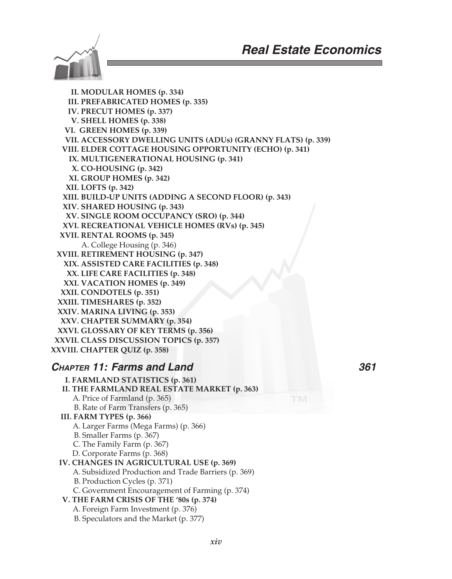

 **II. MODULAR HOMES (p. 334) III. PREFABRICATED HOMES (p. 335) IV. PRECUT HOMES (p. 337) V. SHELL HOMES (p. 338) VI. GREEN HOMES (p. 339) VII. ACCESSORY DWELLING UNITS (ADUs) (GRANNY FLATS) (p. 339) VIII. ELDER COTTAGE HOUSING OPPORTUNITY (ECHO) (p. 341) IX. MULTIGENERATIONAL HOUSING (p. 341) X. CO-HOUSING (p. 342) XI. GROUP HOMES (p. 342) XII. LOFTS (p. 342) XIII. BUILD-UP UNITS (ADDING A SECOND FLOOR) (p. 343) XIV. SHARED HOUSING (p. 343) XV. SINGLE ROOM OCCUPANCY (SRO) (p. 344) XVI. RECREATIONAL VEHICLE HOMES (RVs) (p. 345) XVII. RENTAL ROOMS (p. 345)** A. College Housing (p. 346)  **XVIII. RETIREMENT HOUSING (p. 347) XIX. ASSISTED CARE FACILITIES (p. 348) XX. LIFE CARE FACILITIES (p. 348) XXI. VACATION HOMES (p. 349) XXII. CONDOTELS (p. 351) XXIII. TIMESHARES (p. 352) XXIV. MARINA LIVING (p. 353) XXV. CHAPTER SUMMARY (p. 354) XXVI. GLOSSARY OF KEY TERMS (p. 356) XXVII. CLASS DISCUSSION TOPICS (p. 357) XXVIII. CHAPTER QUIZ (p. 358)**

### **CHAPTER 11: Farms and Land 361**

- **I. FARMLAND STATISTICS (p. 361) II. THE FARMLAND REAL ESTATE MARKET (p. 363)** A. Price of Farmland (p. 365) B. Rate of Farm Transfers (p. 365) **III. FARM TYPES (p. 366)** A. Larger Farms (Mega Farms) (p. 366) B. Smaller Farms (p. 367) C. The Family Farm (p. 367) D. Corporate Farms (p. 368)  **IV. CHANGES IN AGRICULTURAL USE (p. 369)** A. Subsidized Production and Trade Barriers (p. 369) B. Production Cycles (p. 371) C. Government Encouragement of Farming (p. 374)  **V. THE FARM CRISIS OF THE '80s (p. 374)** A. Foreign Farm Investment (p. 376)
	- B. Speculators and the Market (p. 377)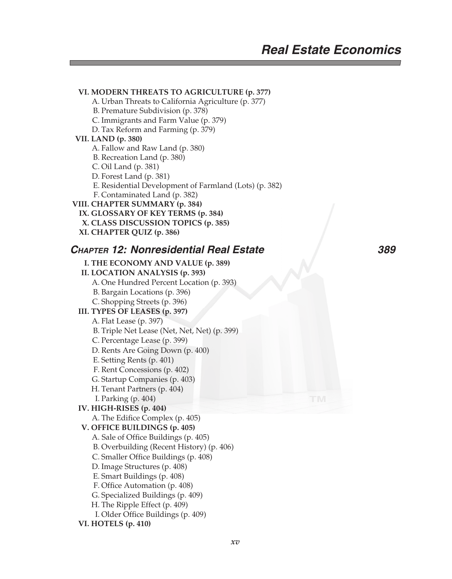#### **VI. MODERN THREATS TO AGRICULTURE (p. 377)**

- A. Urban Threats to California Agriculture (p. 377)
- B. Premature Subdivision (p. 378)
- C. Immigrants and Farm Value (p. 379)
- D. Tax Reform and Farming (p. 379)

#### **VII. LAND (p. 380)**

- A. Fallow and Raw Land (p. 380)
- B. Recreation Land (p. 380)
- C. Oil Land (p. 381)
- D. Forest Land (p. 381)
- E. Residential Development of Farmland (Lots) (p. 382)
- F. Contaminated Land (p. 382)

#### **VIII. CHAPTER SUMMARY (p. 384)**

- **IX. GLOSSARY OF KEY TERMS (p. 384)**
- **X. CLASS DISCUSSION TOPICS (p. 385)**
- **XI. CHAPTER QUIZ (p. 386)**

### **CHAPTER 12: Nonresidential Real Estate 389**

### **I. THE ECONOMY AND VALUE (p. 389) II. LOCATION ANALYSIS (p. 393)** A. One Hundred Percent Location (p. 393) B. Bargain Locations (p. 396) C. Shopping Streets (p. 396)  **III. TYPES OF LEASES (p. 397)** A. Flat Lease (p. 397) B. Triple Net Lease (Net, Net, Net) (p. 399) C. Percentage Lease (p. 399) D. Rents Are Going Down (p. 400) E. Setting Rents (p. 401) F. Rent Concessions (p. 402) G. Startup Companies (p. 403) H. Tenant Partners (p. 404) I. Parking (p. 404)  **IV. HIGH-RISES (p. 404)** A. The Edifice Complex (p. 405)  **V. OFFICE BUILDINGS (p. 405)** A. Sale of Office Buildings (p. 405)

- B. Overbuilding (Recent History) (p. 406)
- C. Smaller Office Buildings (p. 408)
- D. Image Structures (p. 408)
- E. Smart Buildings (p. 408)
- F. Office Automation (p. 408)
- G. Specialized Buildings (p. 409)
- H. The Ripple Effect (p. 409)
- I. Older Office Buildings (p. 409)
- **VI. HOTELS (p. 410)**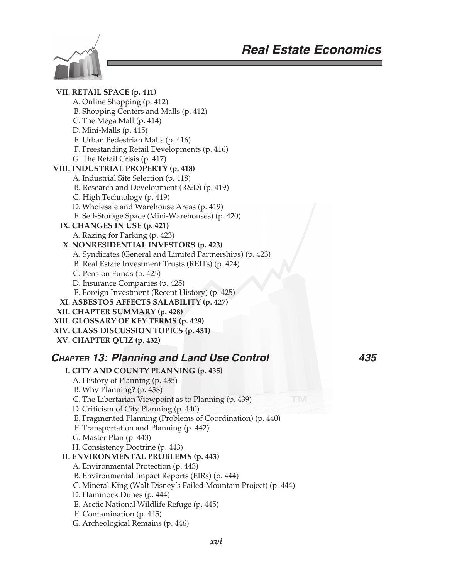



 **VII. RETAIL SPACE (p. 411)** A. Online Shopping (p. 412) B. Shopping Centers and Malls (p. 412) C. The Mega Mall (p. 414) D. Mini-Malls (p. 415) E. Urban Pedestrian Malls (p. 416) F. Freestanding Retail Developments (p. 416) G. The Retail Crisis (p. 417)  **VIII. INDUSTRIAL PROPERTY (p. 418)** A. Industrial Site Selection (p. 418) B. Research and Development (R&D) (p. 419) C. High Technology (p. 419) D. Wholesale and Warehouse Areas (p. 419) E. Self-Storage Space (Mini-Warehouses) (p. 420)  **IX. CHANGES IN USE (p. 421)** A. Razing for Parking (p. 423) **X. NONRESIDENTIAL INVESTORS (p. 423)** A. Syndicates (General and Limited Partnerships) (p. 423) B. Real Estate Investment Trusts (REITs) (p. 424) C. Pension Funds (p. 425) D. Insurance Companies (p. 425) E. Foreign Investment (Recent History) (p. 425)  **XI. ASBESTOS AFFECTS SALABILITY (p. 427) XII. CHAPTER SUMMARY (p. 428) XIII. GLOSSARY OF KEY TERMS (p. 429) XIV. CLASS DISCUSSION TOPICS (p. 431) XV. CHAPTER QUIZ (p. 432) CHAPTER 13: Planning and Land Use Control 435 I. CITY AND COUNTY PLANNING (p. 435)** A. History of Planning (p. 435) B. Why Planning? (p. 438) C. The Libertarian Viewpoint as to Planning (p. 439) D. Criticism of City Planning (p. 440) E. Fragmented Planning (Problems of Coordination) (p. 440) F. Transportation and Planning (p. 442) G. Master Plan (p. 443) H. Consistency Doctrine (p. 443)  **II. ENVIRONMENTAL PROBLEMS (p. 443)** A. Environmental Protection (p. 443) B. Environmental Impact Reports (EIRs) (p. 444) C. Mineral King (Walt Disney's Failed Mountain Project) (p. 444) D. Hammock Dunes (p. 444) E. Arctic National Wildlife Refuge (p. 445)

- F. Contamination (p. 445)
- G. Archeological Remains (p. 446)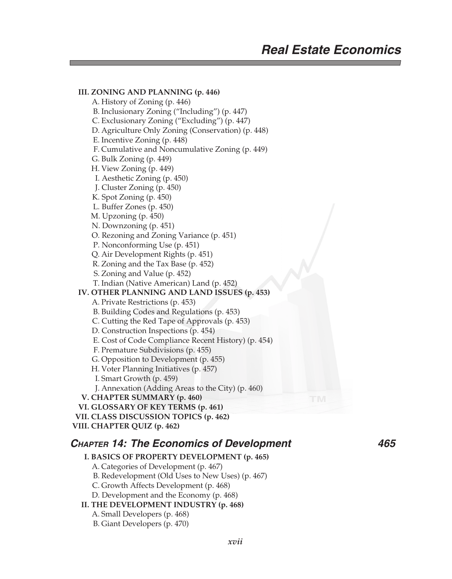**III. ZONING AND PLANNING (p. 446)** A. History of Zoning (p. 446) B. Inclusionary Zoning ("Including") (p. 447) C. Exclusionary Zoning ("Excluding") (p. 447) D. Agriculture Only Zoning (Conservation) (p. 448) E. Incentive Zoning (p. 448) F. Cumulative and Noncumulative Zoning (p. 449) G. Bulk Zoning (p. 449) H. View Zoning (p. 449) I. Aesthetic Zoning (p. 450) J. Cluster Zoning (p. 450) K. Spot Zoning (p. 450) L. Buffer Zones (p. 450) M. Upzoning (p. 450) N. Downzoning (p. 451) O. Rezoning and Zoning Variance (p. 451) P. Nonconforming Use (p. 451) Q. Air Development Rights (p. 451) R. Zoning and the Tax Base (p. 452) S. Zoning and Value (p. 452) T. Indian (Native American) Land (p. 452) **IV. OTHER PLANNING AND LAND ISSUES (p. 453)** A. Private Restrictions (p. 453) B. Building Codes and Regulations (p. 453) C. Cutting the Red Tape of Approvals (p. 453) D. Construction Inspections (p. 454) E. Cost of Code Compliance Recent History) (p. 454) F. Premature Subdivisions (p. 455) G. Opposition to Development (p. 455) H. Voter Planning Initiatives (p. 457) I. Smart Growth (p. 459) J. Annexation (Adding Areas to the City) (p. 460)  **V. CHAPTER SUMMARY (p. 460) VI. GLOSSARY OF KEY TERMS (p. 461) VII. CLASS DISCUSSION TOPICS (p. 462) VIII. CHAPTER QUIZ (p. 462) CHAPTER 14: The Economics of Development 465** 

### **I. BASICS OF PROPERTY DEVELOPMENT (p. 465)**

A. Categories of Development (p. 467)

B. Redevelopment (Old Uses to New Uses) (p. 467)

C. Growth Affects Development (p. 468)

D. Development and the Economy (p. 468)

 **II. THE DEVELOPMENT INDUSTRY (p. 468)**

#### A. Small Developers (p. 468)

B. Giant Developers (p. 470)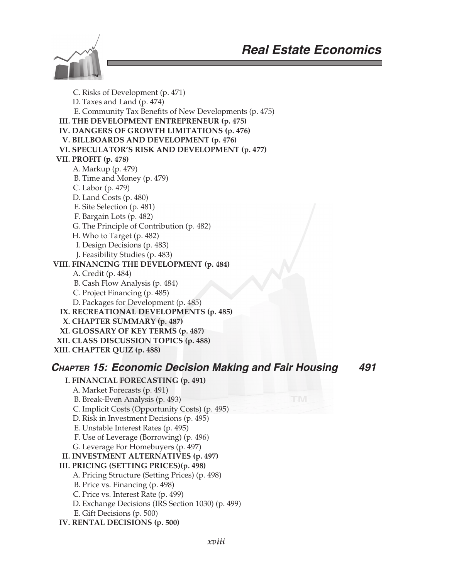

 C. Risks of Development (p. 471) D. Taxes and Land (p. 474) E. Community Tax Benefits of New Developments (p. 475)  **III. THE DEVELOPMENT ENTREPRENEUR (p. 475) IV. DANGERS OF GROWTH LIMITATIONS (p. 476) V. BILLBOARDS AND DEVELOPMENT (p. 476) VI. SPECULATOR'S RISK AND DEVELOPMENT (p. 477) VII. PROFIT (p. 478)** A. Markup (p. 479) B. Time and Money (p. 479) C. Labor (p. 479) D. Land Costs (p. 480) E. Site Selection (p. 481) F. Bargain Lots (p. 482) G. The Principle of Contribution (p. 482) H. Who to Target (p. 482) I. Design Decisions (p. 483) J. Feasibility Studies (p. 483) **VIII. FINANCING THE DEVELOPMENT (p. 484)** A. Credit (p. 484) B. Cash Flow Analysis (p. 484) C. Project Financing (p. 485) D. Packages for Development (p. 485)  **IX. RECREATIONAL DEVELOPMENTS (p. 485) X. CHAPTER SUMMARY (p. 487) XI. GLOSSARY OF KEY TERMS (p. 487) XII. CLASS DISCUSSION TOPICS (p. 488) XIII. CHAPTER QUIZ (p. 488)**

### **CHAPTER 15: Economic Decision Making and Fair Housing 491**

- **I. FINANCIAL FORECASTING (p. 491)**
	- A. Market Forecasts (p. 491)
	- B. Break-Even Analysis (p. 493)
	- C. Implicit Costs (Opportunity Costs) (p. 495)
	- D. Risk in Investment Decisions (p. 495)
	- E. Unstable Interest Rates (p. 495)
	- F. Use of Leverage (Borrowing) (p. 496)
	- G. Leverage For Homebuyers (p. 497)
- **II. INVESTMENT ALTERNATIVES (p. 497)**

### **III. PRICING (SETTING PRICES)(p. 498)**

- A. Pricing Structure (Setting Prices) (p. 498)
- B. Price vs. Financing (p. 498)
- C. Price vs. Interest Rate (p. 499)
- D. Exchange Decisions (IRS Section 1030) (p. 499)
- E. Gift Decisions (p. 500)
- **IV. RENTAL DECISIONS (p. 500)**